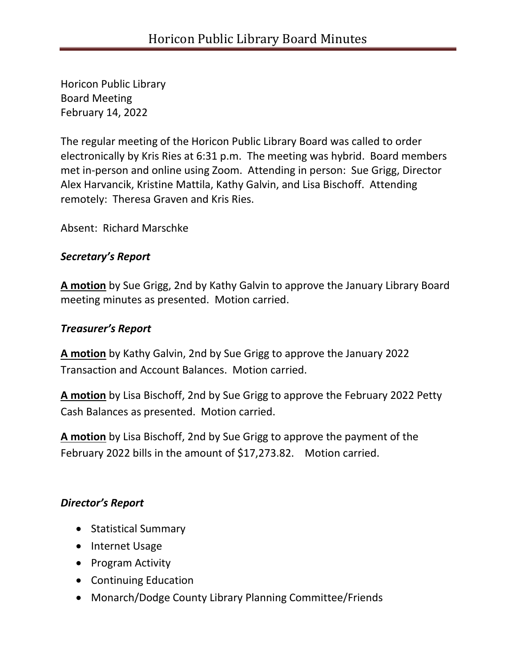Horicon Public Library Board Meeting February 14, 2022

The regular meeting of the Horicon Public Library Board was called to order electronically by Kris Ries at 6:31 p.m. The meeting was hybrid. Board members met in-person and online using Zoom. Attending in person: Sue Grigg, Director Alex Harvancik, Kristine Mattila, Kathy Galvin, and Lisa Bischoff. Attending remotely: Theresa Graven and Kris Ries.

Absent: Richard Marschke

## *Secretary's Report*

**A motion** by Sue Grigg, 2nd by Kathy Galvin to approve the January Library Board meeting minutes as presented. Motion carried.

# *Treasurer's Report*

**A motion** by Kathy Galvin, 2nd by Sue Grigg to approve the January 2022 Transaction and Account Balances. Motion carried.

**A motion** by Lisa Bischoff, 2nd by Sue Grigg to approve the February 2022 Petty Cash Balances as presented. Motion carried.

**A motion** by Lisa Bischoff, 2nd by Sue Grigg to approve the payment of the February 2022 bills in the amount of \$17,273.82. Motion carried.

# *Director's Report*

- Statistical Summary
- Internet Usage
- Program Activity
- Continuing Education
- Monarch/Dodge County Library Planning Committee/Friends